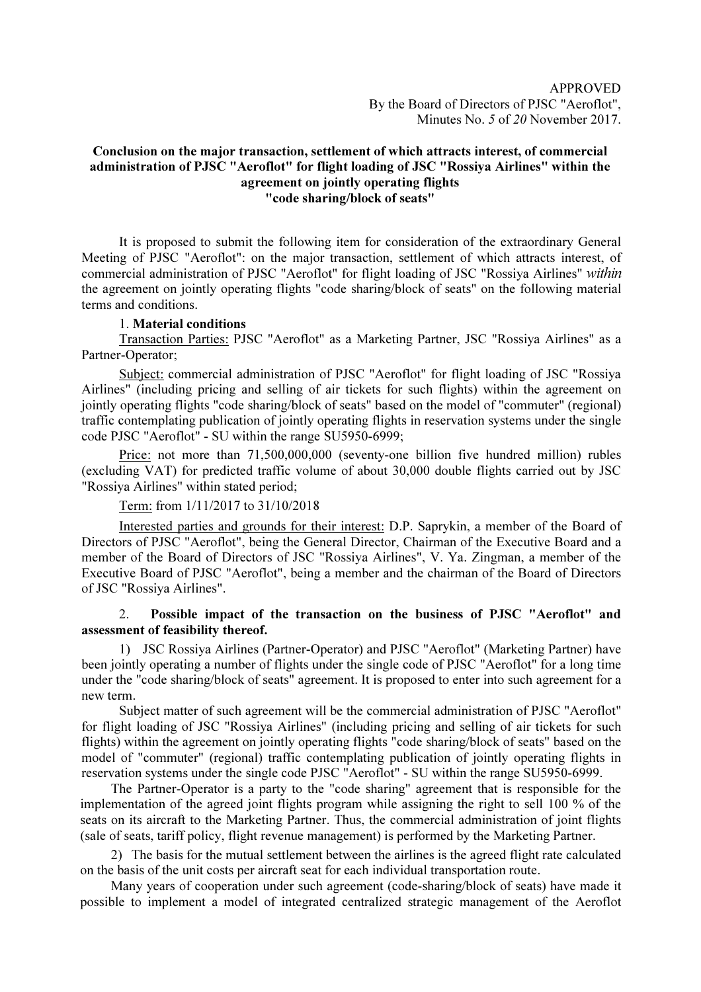## Conclusion on the major transaction, settlement of which attracts interest, of commercial administration of PJSC "Aeroflot" for flight loading of JSC "Rossiya Airlines" within the agreement on jointly operating flights "code sharing/block of seats"

It is proposed to submit the following item for consideration of the extraordinary General Meeting of PJSC "Aeroflot": on the major transaction, settlement of which attracts interest, of commercial administration of PJSC "Aeroflot" for flight loading of JSC "Rossiya Airlines" within the agreement on jointly operating flights "code sharing/block of seats" on the following material terms and conditions.

## 1. Material conditions

Transaction Parties: PJSC "Aeroflot" as a Marketing Partner, JSC "Rossiya Airlines" as a Partner-Operator;

Subject: commercial administration of PJSC "Aeroflot" for flight loading of JSC "Rossiya Airlines" (including pricing and selling of air tickets for such flights) within the agreement on jointly operating flights "code sharing/block of seats" based on the model of "commuter" (regional) traffic contemplating publication of jointly operating flights in reservation systems under the single code PJSC "Aeroflot" - SU within the range SU5950-6999;

Price: not more than 71,500,000,000 (seventy-one billion five hundred million) rubles (excluding VAT) for predicted traffic volume of about 30,000 double flights carried out by JSC "Rossiya Airlines" within stated period;

## Term: from 1/11/2017 to 31/10/2018

Interested parties and grounds for their interest: D.P. Saprykin, a member of the Board of Directors of PJSC "Aeroflot", being the General Director, Chairman of the Executive Board and a member of the Board of Directors of JSC "Rossiya Airlines", V. Ya. Zingman, a member of the Executive Board of PJSC "Aeroflot", being a member and the chairman of the Board of Directors of JSC "Rossiya Airlines".

## 2. Possible impact of the transaction on the business of PJSC "Aeroflot" and assessment of feasibility thereof.

1) JSC Rossiya Airlines (Partner-Operator) and PJSC "Aeroflot" (Marketing Partner) have been jointly operating a number of flights under the single code of PJSC "Aeroflot" for a long time under the "code sharing/block of seats" agreement. It is proposed to enter into such agreement for a new term.

Subject matter of such agreement will be the commercial administration of PJSC "Aeroflot" for flight loading of JSC "Rossiya Airlines" (including pricing and selling of air tickets for such flights) within the agreement on jointly operating flights "code sharing/block of seats" based on the model of "commuter" (regional) traffic contemplating publication of jointly operating flights in reservation systems under the single code PJSC "Aeroflot" - SU within the range SU5950-6999.

The Partner-Operator is a party to the "code sharing" agreement that is responsible for the implementation of the agreed joint flights program while assigning the right to sell 100 % of the seats on its aircraft to the Marketing Partner. Thus, the commercial administration of joint flights (sale of seats, tariff policy, flight revenue management) is performed by the Marketing Partner.

2) The basis for the mutual settlement between the airlines is the agreed flight rate calculated on the basis of the unit costs per aircraft seat for each individual transportation route.

Many years of cooperation under such agreement (code-sharing/block of seats) have made it possible to implement a model of integrated centralized strategic management of the Aeroflot